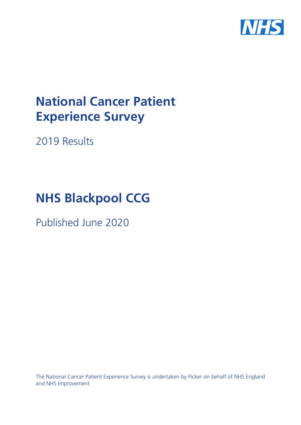

# **National Cancer Patient Experience Survey**

2019 Results

# **NHS Blackpool CCG**

Published June 2020

The National Cancer Patient Experience Survey is undertaken by Picker on behalf of NHS England and NHS Improvement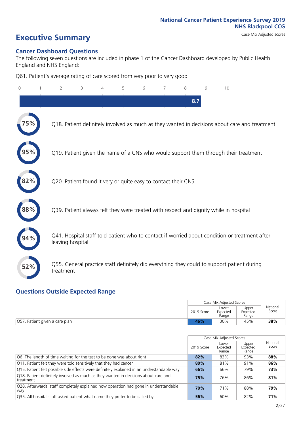# **Executive Summary** Case Mix Adjusted scores

### **Cancer Dashboard Questions**

The following seven questions are included in phase 1 of the Cancer Dashboard developed by Public Health England and NHS England:

Q61. Patient's average rating of care scored from very poor to very good

| 0          | $\overline{2}$                                                | 3 | 4 | 5 | 6 | 7 | 8   | $\mathsf{Q}$ | 10                                                                                            |
|------------|---------------------------------------------------------------|---|---|---|---|---|-----|--------------|-----------------------------------------------------------------------------------------------|
|            |                                                               |   |   |   |   |   | 8.7 |              |                                                                                               |
| 5%         |                                                               |   |   |   |   |   |     |              | Q18. Patient definitely involved as much as they wanted in decisions about care and treatment |
|            |                                                               |   |   |   |   |   |     |              | Q19. Patient given the name of a CNS who would support them through their treatment           |
| 82%        | Q20. Patient found it very or quite easy to contact their CNS |   |   |   |   |   |     |              |                                                                                               |
| $\bf 88\%$ |                                                               |   |   |   |   |   |     |              | Q39. Patient always felt they were treated with respect and dignity while in hospital         |
|            | leaving hospital                                              |   |   |   |   |   |     |              | Q41. Hospital staff told patient who to contact if worried about condition or treatment after |
| 52%        | treatment                                                     |   |   |   |   |   |     |              | Q55. General practice staff definitely did everything they could to support patient during    |

### **Questions Outside Expected Range**

|                                |            | Case Mix Adjusted Scores   |                            |                   |
|--------------------------------|------------|----------------------------|----------------------------|-------------------|
|                                | 2019 Score | Lower<br>Expected<br>Range | Upper<br>Expected<br>Range | National<br>Score |
| Q57. Patient given a care plan | 46%        | 30%                        | 45%                        | 38%               |

|                                                                                                  |            | Case Mix Adjusted Scores   |                            |                   |
|--------------------------------------------------------------------------------------------------|------------|----------------------------|----------------------------|-------------------|
|                                                                                                  | 2019 Score | Lower<br>Expected<br>Range | Upper<br>Expected<br>Range | National<br>Score |
| Q6. The length of time waiting for the test to be done was about right                           | 82%        | 83%                        | 93%                        | 88%               |
| Q11. Patient felt they were told sensitively that they had cancer                                | 80%        | 81%                        | 91%                        | 86%               |
| Q15. Patient felt possible side effects were definitely explained in an understandable way       | 66%        | 66%                        | 79%                        | 73%               |
| Q18. Patient definitely involved as much as they wanted in decisions about care and<br>treatment | 75%        | 76%                        | 86%                        | 81%               |
| Q28. Afterwards, staff completely explained how operation had gone in understandable<br>way      | 70%        | 71%                        | 88%                        | 79%               |
| Q35. All hospital staff asked patient what name they prefer to be called by                      | 56%        | 60%                        | 82%                        | 71%               |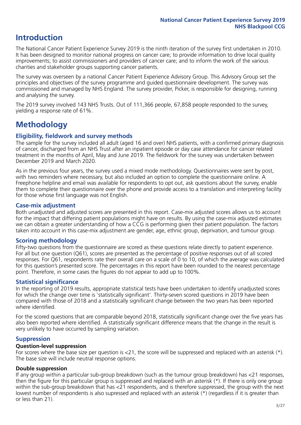### **Introduction**

The National Cancer Patient Experience Survey 2019 is the ninth iteration of the survey first undertaken in 2010. It has been designed to monitor national progress on cancer care; to provide information to drive local quality improvements; to assist commissioners and providers of cancer care; and to inform the work of the various charities and stakeholder groups supporting cancer patients.

The survey was overseen by a national Cancer Patient Experience Advisory Group. This Advisory Group set the principles and objectives of the survey programme and guided questionnaire development. The survey was commissioned and managed by NHS England. The survey provider, Picker, is responsible for designing, running and analysing the survey.

The 2019 survey involved 143 NHS Trusts. Out of 111,366 people, 67,858 people responded to the survey, yielding a response rate of 61%.

### **Methodology**

### **Eligibility, eldwork and survey methods**

The sample for the survey included all adult (aged 16 and over) NHS patients, with a confirmed primary diagnosis of cancer, discharged from an NHS Trust after an inpatient episode or day case attendance for cancer related treatment in the months of April, May and June 2019. The fieldwork for the survey was undertaken between December 2019 and March 2020.

As in the previous four years, the survey used a mixed mode methodology. Questionnaires were sent by post, with two reminders where necessary, but also included an option to complete the questionnaire online. A Freephone helpline and email was available for respondents to opt out, ask questions about the survey, enable them to complete their questionnaire over the phone and provide access to a translation and interpreting facility for those whose first language was not English.

### **Case-mix adjustment**

Both unadjusted and adjusted scores are presented in this report. Case-mix adjusted scores allows us to account for the impact that differing patient populations might have on results. By using the case-mix adjusted estimates we can obtain a greater understanding of how a CCG is performing given their patient population. The factors taken into account in this case-mix adjustment are gender, age, ethnic group, deprivation, and tumour group.

### **Scoring methodology**

Fifty-two questions from the questionnaire are scored as these questions relate directly to patient experience. For all but one question (Q61), scores are presented as the percentage of positive responses out of all scored responses. For Q61, respondents rate their overall care on a scale of 0 to 10, of which the average was calculated for this question's presented score. The percentages in this report have been rounded to the nearest percentage point. Therefore, in some cases the figures do not appear to add up to 100%.

### **Statistical significance**

In the reporting of 2019 results, appropriate statistical tests have been undertaken to identify unadjusted scores for which the change over time is 'statistically significant'. Thirty-seven scored questions in 2019 have been compared with those of 2018 and a statistically significant change between the two years has been reported where identified.

For the scored questions that are comparable beyond 2018, statistically significant change over the five years has also been reported where identified. A statistically significant difference means that the change in the result is very unlikely to have occurred by sampling variation.

### **Suppression**

### **Question-level suppression**

For scores where the base size per question is  $<$ 21, the score will be suppressed and replaced with an asterisk (\*). The base size will include neutral response options.

### **Double suppression**

If any group within a particular sub-group breakdown (such as the tumour group breakdown) has <21 responses, then the figure for this particular group is suppressed and replaced with an asterisk (\*). If there is only one group within the sub-group breakdown that has <21 respondents, and is therefore suppressed, the group with the next lowest number of respondents is also supressed and replaced with an asterisk (\*) (regardless if it is greater than or less than 21).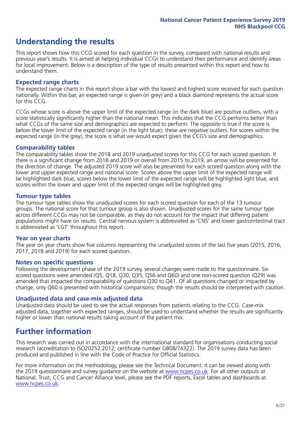### **Understanding the results**

This report shows how this CCG scored for each question in the survey, compared with national results and previous year's results. It is aimed at helping individual CCGs to understand their performance and identify areas for local improvement. Below is a description of the type of results presented within this report and how to understand them.

### **Expected range charts**

The expected range charts in this report show a bar with the lowest and highest score received for each question nationally. Within this bar, an expected range is given (in grey) and a black diamond represents the actual score for this CCG.

CCGs whose score is above the upper limit of the expected range (in the dark blue) are positive outliers, with a score statistically significantly higher than the national mean. This indicates that the CCG performs better than what CCGs of the same size and demographics are expected to perform. The opposite is true if the score is below the lower limit of the expected range (in the light blue); these are negative outliers. For scores within the expected range (in the grey), the score is what we would expect given the CCG's size and demographics.

### **Comparability tables**

The comparability tables show the 2018 and 2019 unadjusted scores for this CCG for each scored question. If there is a significant change from 2018 and 2019 or overall from 2015 to 2019, an arrow will be presented for the direction of change. The adjusted 2019 score will also be presented for each scored question along with the lower and upper expected range and national score. Scores above the upper limit of the expected range will be highlighted dark blue, scores below the lower limit of the expected range will be highlighted light blue, and scores within the lower and upper limit of the expected ranges will be highlighted grey.

### **Tumour type tables**

The tumour type tables show the unadjusted scores for each scored question for each of the 13 tumour groups. The national score for that tumour group is also shown. Unadjusted scores for the same tumour type across different CCGs may not be comparable, as they do not account for the impact that differing patient populations might have on results. Central nervous system is abbreviated as 'CNS' and lower gastrointestinal tract is abbreviated as 'LGT' throughout this report.

### **Year on year charts**

The year on year charts show five columns representing the unadjusted scores of the last five years (2015, 2016, 2017, 2018 and 2019) for each scored question.

#### **Notes on specific questions**

Following the development phase of the 2019 survey, several changes were made to the questionnaire. Six scored questions were amended (Q5, Q18, Q30, Q35, Q56 and Q60) and one non-scored question (Q29) was amended that impacted the comparability of questions Q30 to Q41. Of all questions changed or impacted by change, only Q60 is presented with historical comparisons; though the results should be interpreted with caution.

### **Unadjusted data and case-mix adjusted data**

Unadjusted data should be used to see the actual responses from patients relating to the CCG. Case-mix adjusted data, together with expected ranges, should be used to understand whether the results are significantly higher or lower than national results taking account of the patient mix.

### **Further information**

This research was carried out in accordance with the international standard for organisations conducting social research (accreditation to ISO20252:2012; certificate number GB08/74322). The 2019 survey data has been produced and published in line with the Code of Practice for Official Statistics.

For more information on the methodology, please see the Technical Document. It can be viewed along with the 2019 questionnaire and survey quidance on the website at [www.ncpes.co.uk](https://www.ncpes.co.uk/supporting-documents). For all other outputs at National, Trust, CCG and Cancer Alliance level, please see the PDF reports, Excel tables and dashboards at [www.ncpes.co.uk.](https://www.ncpes.co.uk/current-results)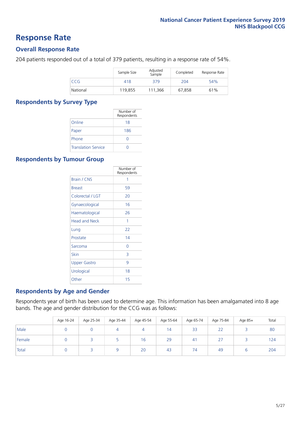### **Response Rate**

### **Overall Response Rate**

204 patients responded out of a total of 379 patients, resulting in a response rate of 54%.

|            | Sample Size | Adjusted<br>Sample | Completed | Response Rate |
|------------|-------------|--------------------|-----------|---------------|
| <b>CCG</b> | 418         | 379                | 204       | 54%           |
| National   | 119.855     | 111.366            | 67.858    | 61%           |

### **Respondents by Survey Type**

|                            | Number of<br>Respondents |
|----------------------------|--------------------------|
| Online                     | 18                       |
| Paper                      | 186                      |
| Phone                      |                          |
| <b>Translation Service</b> |                          |

### **Respondents by Tumour Group**

|                      | Number of<br>Respondents |
|----------------------|--------------------------|
| Brain / CNS          | 1                        |
| <b>Breast</b>        | 59                       |
| Colorectal / LGT     | 20                       |
| Gynaecological       | 16                       |
| Haematological       | 26                       |
| <b>Head and Neck</b> | 1                        |
| Lung                 | 22                       |
| Prostate             | 14                       |
| Sarcoma              | Ω                        |
| Skin                 | 3                        |
| <b>Upper Gastro</b>  | 9                        |
| Urological           | 18                       |
| Other                | 15                       |

### **Respondents by Age and Gender**

Respondents year of birth has been used to determine age. This information has been amalgamated into 8 age bands. The age and gender distribution for the CCG was as follows:

|        | Age 16-24 | Age 25-34 | Age 35-44 | Age 45-54 | Age 55-64       | Age 65-74 | Age 75-84        | Age 85+ | Total |
|--------|-----------|-----------|-----------|-----------|-----------------|-----------|------------------|---------|-------|
| Male   |           |           |           | 4         | $\overline{14}$ | 33        | 22               |         | 80    |
| Female |           |           |           | 16        | 29              | -41       | $\sim$ $-$<br>Ζ. |         | 124   |
| Total  |           |           |           | 20        | 43              | 74        | 49               |         | 204   |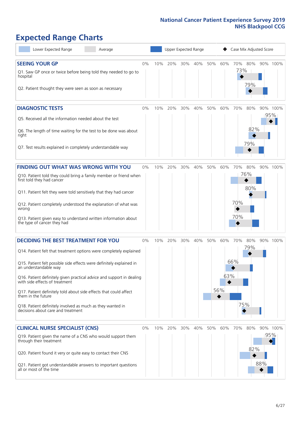# **Expected Range Charts**

| Lower Expected Range<br>Average                                                                                                                                                                                                                                                                                                                                                                                                                                                                                             |       |     | Upper Expected Range |         |     |     |                        | Case Mix Adjusted Score                |            |                 |
|-----------------------------------------------------------------------------------------------------------------------------------------------------------------------------------------------------------------------------------------------------------------------------------------------------------------------------------------------------------------------------------------------------------------------------------------------------------------------------------------------------------------------------|-------|-----|----------------------|---------|-----|-----|------------------------|----------------------------------------|------------|-----------------|
| <b>SEEING YOUR GP</b><br>Q1. Saw GP once or twice before being told they needed to go to<br>hospital<br>Q2. Patient thought they were seen as soon as necessary                                                                                                                                                                                                                                                                                                                                                             | 0%    | 10% | 20%                  | 30%     | 40% | 50% | 60%                    | 80%<br>70%<br>73%<br>79%               |            | 90% 100%        |
| <b>DIAGNOSTIC TESTS</b><br>Q5. Received all the information needed about the test<br>Q6. The length of time waiting for the test to be done was about<br>right<br>Q7. Test results explained in completely understandable way                                                                                                                                                                                                                                                                                               | 0%    | 10% | 20%                  | 30%     | 40% | 50% | 60%                    | 70%<br>80%<br>79%                      | 82%        | 90% 100%<br>95% |
| <b>FINDING OUT WHAT WAS WRONG WITH YOU</b><br>Q10. Patient told they could bring a family member or friend when<br>first told they had cancer<br>Q11. Patient felt they were told sensitively that they had cancer<br>Q12. Patient completely understood the explanation of what was<br>wrong<br>Q13. Patient given easy to understand written information about<br>the type of cancer they had                                                                                                                             | 0%    | 10% | 20%                  | 30%     | 40% | 50% | 60%                    | 70%<br>80%<br>76%<br>80%<br>70%<br>70% |            | 90% 100%        |
| <b>DECIDING THE BEST TREATMENT FOR YOU</b><br>Q14. Patient felt that treatment options were completely explained<br>Q15. Patient felt possible side effects were definitely explained in<br>an understandable way<br>Q16. Patient definitely given practical advice and support in dealing<br>with side effects of treatment<br>Q17. Patient definitely told about side effects that could affect<br>them in the future<br>Q18. Patient definitely involved as much as they wanted in<br>decisions about care and treatment | 0%    | 10% |                      | 20% 30% | 40% | 50% | 60%<br>63%<br>56%<br>◆ | 80%<br>70%<br>79%<br>66%<br>75%        |            | 90% 100%        |
| <b>CLINICAL NURSE SPECIALIST (CNS)</b><br>Q19. Patient given the name of a CNS who would support them<br>through their treatment<br>Q20. Patient found it very or quite easy to contact their CNS<br>Q21. Patient got understandable answers to important questions<br>all or most of the time                                                                                                                                                                                                                              | $0\%$ | 10% | 20%                  | 30%     | 40% | 50% | 60%                    | 70%<br>80%                             | 82%<br>88% | 90% 100%<br>95% |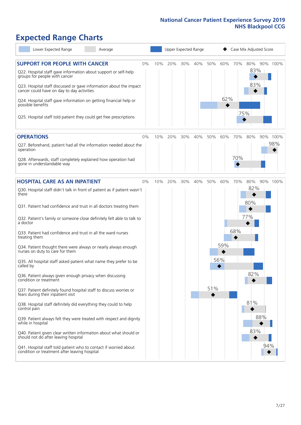# **Expected Range Charts**

| Lower Expected Range<br>Average                                                                                                                                                       |    |     |     |     | Upper Expected Range |     |     |     | Case Mix Adjusted Score |          |
|---------------------------------------------------------------------------------------------------------------------------------------------------------------------------------------|----|-----|-----|-----|----------------------|-----|-----|-----|-------------------------|----------|
| <b>SUPPORT FOR PEOPLE WITH CANCER</b><br>Q22. Hospital staff gave information about support or self-help<br>groups for people with cancer                                             | 0% | 10% | 20% | 30% | 40%                  | 50% | 60% | 70% | 80%<br>83%<br>83%       | 90% 100% |
| Q23. Hospital staff discussed or gave information about the impact<br>cancer could have on day to day activities<br>Q24. Hospital staff gave information on getting financial help or |    |     |     |     |                      |     | 62% |     |                         |          |
| possible benefits<br>Q25. Hospital staff told patient they could get free prescriptions                                                                                               |    |     |     |     |                      |     |     |     | 75%                     |          |
| <b>OPERATIONS</b>                                                                                                                                                                     | 0% | 10% | 20% | 30% | 40%                  | 50% | 60% | 70% | 80%                     | 90% 100% |
| Q27. Beforehand, patient had all the information needed about the<br>operation                                                                                                        |    |     |     |     |                      |     |     |     |                         | 98%      |
| Q28. Afterwards, staff completely explained how operation had<br>gone in understandable way                                                                                           |    |     |     |     |                      |     |     | 70% |                         |          |
| <b>HOSPITAL CARE AS AN INPATIENT</b>                                                                                                                                                  | 0% | 10% | 20% | 30% | 40%                  | 50% | 60% | 70% | 80%                     | 90% 100% |
| Q30. Hospital staff didn't talk in front of patient as if patient wasn't<br>there                                                                                                     |    |     |     |     |                      |     |     |     | 82%                     |          |
| Q31. Patient had confidence and trust in all doctors treating them                                                                                                                    |    |     |     |     |                      |     |     |     | 80%                     |          |
| Q32. Patient's family or someone close definitely felt able to talk to<br>a doctor                                                                                                    |    |     |     |     |                      |     |     |     | 77%                     |          |
| Q33. Patient had confidence and trust in all the ward nurses<br>treating them                                                                                                         |    |     |     |     |                      |     |     | 68% |                         |          |
| Q34. Patient thought there were always or nearly always enough<br>nurses on duty to care for them                                                                                     |    |     |     |     |                      |     | 59% |     |                         |          |
| Q35. All hospital staff asked patient what name they prefer to be<br>called by                                                                                                        |    |     |     |     |                      |     | 56% |     |                         |          |
| Q36. Patient always given enough privacy when discussing<br>condition or treatment                                                                                                    |    |     |     |     |                      |     |     |     | 82%                     |          |
| Q37. Patient definitely found hospital staff to discuss worries or<br>fears during their inpatient visit                                                                              |    |     |     |     |                      | 51% |     |     |                         |          |
| Q38. Hospital staff definitely did everything they could to help<br>control pain                                                                                                      |    |     |     |     |                      |     |     |     | 81%                     |          |
| Q39. Patient always felt they were treated with respect and dignity<br>while in hospital                                                                                              |    |     |     |     |                      |     |     |     | 88%                     |          |
| Q40. Patient given clear written information about what should or<br>should not do after leaving hospital                                                                             |    |     |     |     |                      |     |     |     | 83%                     |          |
| Q41. Hospital staff told patient who to contact if worried about<br>condition or treatment after leaving hospital                                                                     |    |     |     |     |                      |     |     |     |                         | 94%      |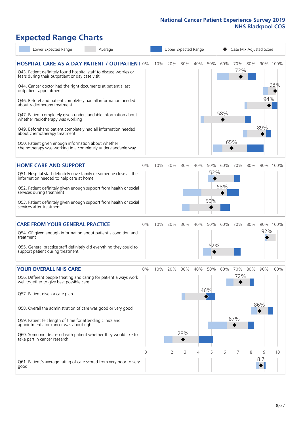# **Expected Range Charts**

| Lower Expected Range                                                                                                                                                                                                                                                                                                                                                                                                                                                                                                                                                             | Average |     | Upper Expected Range |            |     |                   |            | Case Mix Adjusted Score              |     |            |                 |
|----------------------------------------------------------------------------------------------------------------------------------------------------------------------------------------------------------------------------------------------------------------------------------------------------------------------------------------------------------------------------------------------------------------------------------------------------------------------------------------------------------------------------------------------------------------------------------|---------|-----|----------------------|------------|-----|-------------------|------------|--------------------------------------|-----|------------|-----------------|
| <b>HOSPITAL CARE AS A DAY PATIENT / OUTPATIENT 0%</b><br>Q43. Patient definitely found hospital staff to discuss worries or<br>fears during their outpatient or day case visit<br>Q44. Cancer doctor had the right documents at patient's last<br>outpatient appointment<br>Q46. Beforehand patient completely had all information needed<br>about radiotherapy treatment<br>Q47. Patient completely given understandable information about<br>whether radiotherapy was working<br>Q49. Beforehand patient completely had all information needed<br>about chemotherapy treatment |         | 10% | 20%                  | 30%        | 40% | 50%               | 60%<br>58% | 70%<br>72%                           | 80% | 94%<br>89% | 90% 100%<br>98% |
| Q50. Patient given enough information about whether<br>chemotherapy was working in a completely understandable way                                                                                                                                                                                                                                                                                                                                                                                                                                                               |         |     |                      |            |     |                   |            | 65%                                  |     |            |                 |
| <b>HOME CARE AND SUPPORT</b><br>Q51. Hospital staff definitely gave family or someone close all the<br>information needed to help care at home<br>Q52. Patient definitely given enough support from health or social<br>services during treatment<br>Q53. Patient definitely given enough support from health or social<br>services after treatment                                                                                                                                                                                                                              | 0%      | 10% | 20%                  | 30%        | 40% | 50%<br>52%<br>50% | 60%<br>58% | 70%                                  | 80% |            | 90% 100%        |
| <b>CARE FROM YOUR GENERAL PRACTICE</b><br>Q54. GP given enough information about patient's condition and<br>treatment<br>Q55. General practice staff definitely did everything they could to<br>support patient during treatment                                                                                                                                                                                                                                                                                                                                                 | 0%      | 10% | 20%                  | 30%        | 40% | 50%<br>52%        | 60%        | 70%                                  | 80% | 92%        | 90% 100%        |
| <b>YOUR OVERALL NHS CARE</b><br>Q56. Different people treating and caring for patient always work<br>well together to give best possible care<br>Q57. Patient given a care plan<br>Q58. Overall the administration of care was good or very good<br>Q59. Patient felt length of time for attending clinics and<br>appointments for cancer was about right<br>Q60. Someone discussed with patient whether they would like to<br>take part in cancer research                                                                                                                      | $0\%$   | 10% | 20%                  | 30%<br>28% | 40% | 50%<br>46%        | 60%        | 70%<br>72%<br>67%<br>$\blacklozenge$ | 80% | 86%        | 90% 100%        |
| Q61. Patient's average rating of care scored from very poor to very<br>good                                                                                                                                                                                                                                                                                                                                                                                                                                                                                                      | 0       |     | 2                    | 3          | 4   | 5                 | 6          |                                      | 8   | 9<br>8.7   | 10              |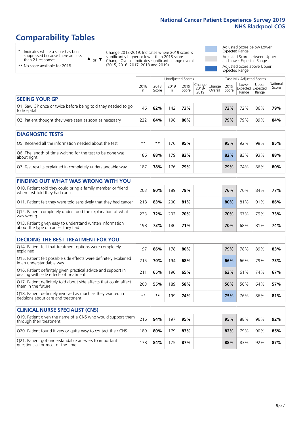## **Comparability Tables**

\* Indicates where a score has been suppressed because there are less than 21 responses.

\*\* No score available for 2018.

 $\triangle$  or  $\nabla$ 

Change 2018-2019: Indicates where 2019 score is significantly higher or lower than 2018 score Change Overall: Indicates significant change overall (2015, 2016, 2017, 2018 and 2019).

Adjusted Score below Lower Expected Range Adjusted Score between Upper and Lower Expected Ranges Adjusted Score above Upper

Expected Range

|                                                                             |           |               | Unadjusted Scores |               |                                                  |         |               | Case Mix Adjusted Scores            |                |                   |
|-----------------------------------------------------------------------------|-----------|---------------|-------------------|---------------|--------------------------------------------------|---------|---------------|-------------------------------------|----------------|-------------------|
|                                                                             | 2018<br>n | 2018<br>Score | 2019<br>n.        | 2019<br>Score | $\sqrt{(\text{Change})}$ Change<br>2018-<br>2019 | Overall | 2019<br>Score | Lower<br>Expected Expected<br>Range | Upper<br>Range | National<br>Score |
| <b>SEEING YOUR GP</b>                                                       |           |               |                   |               |                                                  |         |               |                                     |                |                   |
| Q1. Saw GP once or twice before being told they needed to go<br>to hospital | 146       | 82%           | 142               | 73%           |                                                  |         | 73%           | 72%                                 | 86%            | 79%               |
| Q2. Patient thought they were seen as soon as necessary                     | 222       | 84%           | 198               | 80%           |                                                  |         | 79%           | 79%                                 | 89%            | 84%               |
| <b>DIAGNOSTIC TESTS</b>                                                     |           |               |                   |               |                                                  |         |               |                                     |                |                   |

| Q5. Received all the information needed about the test                    | $**$ | **  | 70 | 95% |  | 95% | 92% | 98% | 95% |
|---------------------------------------------------------------------------|------|-----|----|-----|--|-----|-----|-----|-----|
| Q6. The length of time waiting for the test to be done was<br>about right | 186  | 88% | 79 | 83% |  | 82% | 83% | 93% | 88% |
| Q7. Test results explained in completely understandable way               | 187  | 78% | 76 | 79% |  | 79% | 74% | 86% | 80% |

| Q10. Patient told they could bring a family member or friend<br>when first told they had cancer | 203 | 80% | 189 | 79% | 76% | 70% | 84% | 77% |
|-------------------------------------------------------------------------------------------------|-----|-----|-----|-----|-----|-----|-----|-----|
| Q11. Patient felt they were told sensitively that they had cancer                               | 218 | 83% | 200 | 81% | 80% | 81% | 91% | 86% |
| Q12. Patient completely understood the explanation of what<br>was wrong                         |     | '2% | 202 | 70% | 70% | 67% | 79% | 73% |
| Q13. Patient given easy to understand written information<br>about the type of cancer they had  | 198 | 73% | 180 | 71% | 70% | 68% | 81% | 74% |

|  | <b>DECIDING THE BEST TREATMENT FOR YOU</b> |  |
|--|--------------------------------------------|--|
|--|--------------------------------------------|--|

| Q14. Patient felt that treatment options were completely<br>explained                                   | 197  | 86% | 178 | 80% |  | 79% | 78% | 89% | 83% |
|---------------------------------------------------------------------------------------------------------|------|-----|-----|-----|--|-----|-----|-----|-----|
| Q15. Patient felt possible side effects were definitely explained<br>in an understandable way           | 215  | 70% | 194 | 68% |  | 66% | 66% | 79% | 73% |
| Q16. Patient definitely given practical advice and support in<br>dealing with side effects of treatment | 211  | 65% | 190 | 65% |  | 63% | 61% | 74% | 67% |
| Q17. Patient definitely told about side effects that could affect<br>them in the future                 | 203  | 55% | 189 | 58% |  | 56% | 50% | 64% | 57% |
| Q18. Patient definitely involved as much as they wanted in<br>decisions about care and treatment        | $**$ | **  | 199 | 74% |  | 75% | 76% | 86% | 81% |

| <b>CLINICAL NURSE SPECIALIST (CNS)</b>                                                    |     |     |     |     |     |     |     |     |
|-------------------------------------------------------------------------------------------|-----|-----|-----|-----|-----|-----|-----|-----|
| Q19. Patient given the name of a CNS who would support them<br>through their treatment    | 216 | 94% | 197 | 95% | 95% | 88% | 96% | 92% |
| Q20. Patient found it very or quite easy to contact their CNS                             | 189 | 80% | 179 | 83% | 82% | 79% | 90% | 85% |
| Q21. Patient got understandable answers to important<br>questions all or most of the time | 78  | 84% | 175 | 87% | 88% | 83% | 92% | 87% |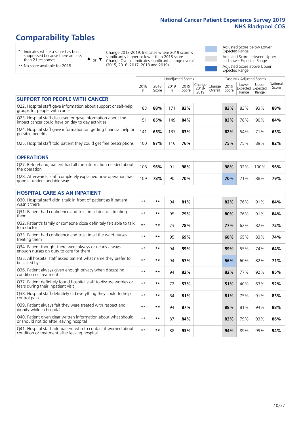### **Comparability Tables**

\* Indicates where a score has been suppressed because there are less than 21 responses.

\*\* No score available for 2018.

 $\triangle$  or  $\nabla$ 

Change 2018-2019: Indicates where 2019 score is significantly higher or lower than 2018 score Change Overall: Indicates significant change overall (2015, 2016, 2017, 2018 and 2019).

Adjusted Score below Lower Expected Range Adjusted Score between Upper and Lower Expected Ranges Adjusted Score above Upper Expected Range

|                                                                                                                   |              |               | <b>Unadjusted Scores</b> |               |                         |                   |               | Case Mix Adjusted Scores |                                     |                   |
|-------------------------------------------------------------------------------------------------------------------|--------------|---------------|--------------------------|---------------|-------------------------|-------------------|---------------|--------------------------|-------------------------------------|-------------------|
|                                                                                                                   | 2018<br>n    | 2018<br>Score | 2019<br>n.               | 2019<br>Score | Change<br>2018-<br>2019 | Change<br>Overall | 2019<br>Score | Lower<br>Range           | Upper<br>Expected Expected<br>Range | National<br>Score |
| <b>SUPPORT FOR PEOPLE WITH CANCER</b>                                                                             |              |               |                          |               |                         |                   |               |                          |                                     |                   |
| Q22. Hospital staff gave information about support or self-help<br>groups for people with cancer                  | 183          | 88%           | 171                      | 83%           |                         |                   | 83%           | 83%                      | 93%                                 | 88%               |
| Q23. Hospital staff discussed or gave information about the<br>impact cancer could have on day to day activities  | 151          | 85%           | 149                      | 84%           |                         |                   | 83%           | 78%                      | 90%                                 | 84%               |
| Q24. Hospital staff gave information on getting financial help or<br>possible benefits                            | 141          | 65%           | 137                      | 63%           |                         |                   | 62%           | 54%                      | 71%                                 | 63%               |
| Q25. Hospital staff told patient they could get free prescriptions                                                | 100          | 87%           | 110                      | 76%           |                         |                   | 75%           | 75%                      | 89%                                 | 82%               |
| <b>OPERATIONS</b>                                                                                                 |              |               |                          |               |                         |                   |               |                          |                                     |                   |
| Q27. Beforehand, patient had all the information needed about<br>the operation                                    | 108          | 96%           | 91                       | 98%           |                         |                   | 98%           | 92%                      | 100%                                | 96%               |
| Q28. Afterwards, staff completely explained how operation had<br>gone in understandable way                       | 109          | 78%           | 90                       | 70%           |                         |                   | 70%           | 71%                      | 88%                                 | 79%               |
| <b>HOSPITAL CARE AS AN INPATIENT</b>                                                                              |              |               |                          |               |                         |                   |               |                          |                                     |                   |
| Q30. Hospital staff didn't talk in front of patient as if patient<br>wasn't there                                 | $\star\star$ | **            | 94                       | 81%           |                         |                   | 82%           | 76%                      | 91%                                 | 84%               |
| Q31. Patient had confidence and trust in all doctors treating<br>them                                             | $\star\star$ | **            | 95                       | 79%           |                         |                   | 80%           | 76%                      | 91%                                 | 84%               |
| Q32. Patient's family or someone close definitely felt able to talk<br>to a doctor                                | $\star\star$ | **            | 73                       | 78%           |                         |                   | 77%           | 62%                      | 82%                                 | 72%               |
| Q33. Patient had confidence and trust in all the ward nurses<br>treating them                                     | $***$        | **            | 95                       | 69%           |                         |                   | 68%           | 65%                      | 83%                                 | 74%               |
| Q34. Patient thought there were always or nearly always<br>enough nurses on duty to care for them                 | $***$        | **            | 94                       | 59%           |                         |                   | 59%           | 55%                      | 74%                                 | 64%               |
| Q35. All hospital staff asked patient what name they prefer to<br>be called by                                    | $\star\star$ | **            | 94                       | 57%           |                         |                   | 56%           | 60%                      | 82%                                 | 71%               |
| Q36. Patient always given enough privacy when discussing<br>condition or treatment                                | $\star\star$ | **            | 94                       | 82%           |                         |                   | 82%           | 77%                      | 92%                                 | 85%               |
| Q37. Patient definitely found hospital staff to discuss worries or<br>fears during their inpatient visit          | $\star\star$ | **            | 72                       | 53%           |                         |                   | 51%           | 40%                      | 63%                                 | 52%               |
| Q38. Hospital staff definitely did everything they could to help<br>control pain                                  | $\star\star$ | $***$         | 84                       | 81%           |                         |                   | 81%           | 75%                      | 91%                                 | 83%               |
| Q39. Patient always felt they were treated with respect and<br>dignity while in hospital                          | $\star\star$ | **            | 94                       | 87%           |                         |                   | 88%           | 81%                      | 94%                                 | 88%               |
| Q40. Patient given clear written information about what should<br>or should not do after leaving hospital         | $\star\star$ | **            | 87                       | 84%           |                         |                   | 83%           | 79%                      | 93%                                 | 86%               |
| Q41. Hospital staff told patient who to contact if worried about<br>condition or treatment after leaving hospital | $**$         | **            | 88                       | 93%           |                         |                   | 94%           | 89%                      | 99%                                 | 94%               |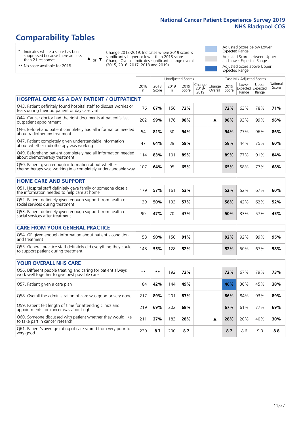### **Comparability Tables**

\* Indicates where a score has been suppressed because there are less than 21 responses.

\*\* No score available for 2018.

 $\triangle$  or  $\nabla$ 

Change 2018-2019: Indicates where 2019 score is significantly higher or lower than 2018 score Change Overall: Indicates significant change overall (2015, 2016, 2017, 2018 and 2019).

Adjusted Score below Lower Expected Range Adjusted Score between Upper and Lower Expected Ranges Adjusted Score above Upper Expected Range

|                                                                                                                       |              |               |            | <b>Unadjusted Scores</b> |                         |                   |               | Case Mix Adjusted Scores |                                     |                   |
|-----------------------------------------------------------------------------------------------------------------------|--------------|---------------|------------|--------------------------|-------------------------|-------------------|---------------|--------------------------|-------------------------------------|-------------------|
|                                                                                                                       | 2018<br>n    | 2018<br>Score | 2019<br>n. | 2019<br>Score            | Change<br>2018-<br>2019 | Change<br>Overall | 2019<br>Score | Lower<br>Range           | Upper<br>Expected Expected<br>Range | National<br>Score |
| <b>HOSPITAL CARE AS A DAY PATIENT / OUTPATIENT</b>                                                                    |              |               |            |                          |                         |                   |               |                          |                                     |                   |
| Q43. Patient definitely found hospital staff to discuss worries or<br>fears during their outpatient or day case visit | 176          | 67%           | 156        | 72%                      |                         |                   | 72%           | 63%                      | 78%                                 | 71%               |
| Q44. Cancer doctor had the right documents at patient's last<br>outpatient appointment                                | 202          | 99%           | 176        | 98%                      |                         | ▲                 | 98%           | 93%                      | 99%                                 | 96%               |
| Q46. Beforehand patient completely had all information needed<br>about radiotherapy treatment                         | 54           | 81%           | 50         | 94%                      |                         |                   | 94%           | 77%                      | 96%                                 | 86%               |
| Q47. Patient completely given understandable information<br>about whether radiotherapy was working                    | 47           | 64%           | 39         | 59%                      |                         |                   | 58%           | 44%                      | 75%                                 | 60%               |
| Q49. Beforehand patient completely had all information needed<br>about chemotherapy treatment                         | 114          | 83%           | 101        | 89%                      |                         |                   | 89%           | 77%                      | 91%                                 | 84%               |
| Q50. Patient given enough information about whether<br>chemotherapy was working in a completely understandable way    | 107          | 64%           | 95         | 65%                      |                         |                   | 65%           | 58%                      | 77%                                 | 68%               |
| <b>HOME CARE AND SUPPORT</b>                                                                                          |              |               |            |                          |                         |                   |               |                          |                                     |                   |
| Q51. Hospital staff definitely gave family or someone close all<br>the information needed to help care at home        | 179          | 57%           | 161        | 53%                      |                         |                   | 52%           | 52%                      | 67%                                 | 60%               |
| Q52. Patient definitely given enough support from health or<br>social services during treatment                       | 139          | 50%           | 133        | 57%                      |                         |                   | 58%           | 42%                      | 62%                                 | 52%               |
| Q53. Patient definitely given enough support from health or<br>social services after treatment                        | 90           | 47%           | 70         | 47%                      |                         |                   | 50%           | 33%                      | 57%                                 | 45%               |
| <b>CARE FROM YOUR GENERAL PRACTICE</b>                                                                                |              |               |            |                          |                         |                   |               |                          |                                     |                   |
| Q54. GP given enough information about patient's condition<br>and treatment                                           | 158          | 90%           | 150        | 91%                      |                         |                   | 92%           | 92%                      | 99%                                 | 95%               |
| Q55. General practice staff definitely did everything they could<br>to support patient during treatment               | 148          | 55%           | 128        | 52%                      |                         |                   | 52%           | 50%                      | 67%                                 | 58%               |
| <b>YOUR OVERALL NHS CARE</b>                                                                                          |              |               |            |                          |                         |                   |               |                          |                                     |                   |
| Q56. Different people treating and caring for patient always                                                          | $\star\star$ | $***$         |            |                          |                         |                   |               |                          |                                     |                   |
| work well together to give best possible care                                                                         |              |               | 192        | 72%                      |                         |                   | 72%           | 67%                      | 79%                                 | 73%               |
| Q57. Patient given a care plan                                                                                        | 184          | 42%           | 144        | 49%                      |                         |                   | 46%           | 30%                      | 45%                                 | 38%               |
| Q58. Overall the administration of care was good or very good                                                         | 217          | 89%           | 201        | 87%                      |                         |                   | 86%           | 84%                      | 93%                                 | 89%               |
| Q59. Patient felt length of time for attending clinics and<br>appointments for cancer was about right                 | 219          | 69%           | 202        | 68%                      |                         |                   | 67%           | 61%                      | 77%                                 | 69%               |
| Q60. Someone discussed with patient whether they would like<br>to take part in cancer research                        | 211          | 27%           | 183        | 28%                      |                         | ▲                 | 28%           | 20%                      | 40%                                 | 30%               |
| Q61. Patient's average rating of care scored from very poor to<br>very good                                           | 220          | 8.7           | 200        | 8.7                      |                         |                   | 8.7           | 8.6                      | 9.0                                 | 8.8               |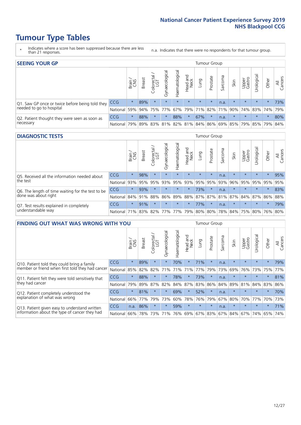### **Tumour Type Tables**

- \* Indicates where a score has been suppressed because there are less than 21 responses.
- n.a. Indicates that there were no respondents for that tumour group.

| <b>SEEING YOUR GP</b>                           |            |              |               |            |                    |                |                  |                       | <b>Tumour Group</b> |         |         |                 |                                                 |         |                |
|-------------------------------------------------|------------|--------------|---------------|------------|--------------------|----------------|------------------|-----------------------|---------------------|---------|---------|-----------------|-------------------------------------------------|---------|----------------|
|                                                 |            | Brain<br>CNS | <b>Breast</b> | Colorectal | ᠊ᢛ<br>Gynaecologic | Haematological | Head and<br>Neck | Lung                  | Prostate            | Sarcoma | Skin    | Upper<br>Gastro | Urological                                      | Other   | All<br>Cancers |
| Q1. Saw GP once or twice before being told they | <b>CCG</b> | $\star$      | 89%           | $\star$    | $\star$            | $\star$        | $\star$          | $\star$               | $\star$             | n.a.    | $\star$ | $\star$         | $\star$                                         | $\star$ | 73%            |
| needed to go to hospital                        | National   | 59%          |               | 94% 75%    | 77%                |                |                  | 67%   79%   71%   82% |                     |         |         |                 | 71% 90% 74% 83% 74%                             |         | 79%            |
| Q2. Patient thought they were seen as soon as   | CCG        | $\star$      | 88%           | $\star$    | $\star$            | 88%            | $\star$          | 67%                   | $\star$             | n.a.    | $\star$ | $\star$         | $\star$                                         | $\star$ | 80%            |
| necessary                                       | National   | 79%          |               |            |                    |                |                  |                       |                     |         |         |                 | 89% 83% 81% 82% 81% 84% 86% 69% 85% 79% 85% 79% |         | 84%            |

#### **DIAGNOSTIC TESTS** Tumour Group

|                                                   |                                          | Brain   | <b>Breast</b> | olorectal.<br>LGT<br>Ü | Gynaecological | Haematological | Head and<br>Neck | Lung    | Prostate | Sarcoma | Skin    | Upper<br>Gastro | Irological                                  | Other   | All<br>Cancers |
|---------------------------------------------------|------------------------------------------|---------|---------------|------------------------|----------------|----------------|------------------|---------|----------|---------|---------|-----------------|---------------------------------------------|---------|----------------|
| Q5. Received all the information needed about     | <b>CCG</b>                               | $\star$ | 98%           |                        | $\star$        | $\star$        | $\star$          | $\star$ | $\star$  | n.a.    | $\star$ | $\star$         | $\star$                                     | $\star$ | 95%            |
| the test                                          | National                                 | 93%     | 95%           | 95%                    | 93%            | 95%            |                  | 93% 95% | 95%      | 93%     | 96%     | 95%             | 95%                                         | 95%     | 95%            |
| Q6. The length of time waiting for the test to be | <b>CCG</b>                               | $\star$ | 93%           |                        | $\star$        | $\star$        | $\star$          | 73%     | $\star$  | n.a.    | $\star$ | $\star$         | $\star$                                     | $\star$ | 83%            |
| done was about right                              | National 84% 91%                         |         |               | 88%                    |                |                |                  |         |          |         |         |                 | 86% 89% 88% 87% 87% 81% 87% 84% 87% 86% 88% |         |                |
| Q7. Test results explained in completely          | <b>CCG</b>                               | $\star$ | 91%           | $\star$                | $\star$        | $\star$        | $\star$          | 77%     | $\star$  | n.a.    | $\star$ | $\star$         | $\star$                                     | $\star$ | 79%            |
| understandable way                                | National 71% 83% 82% 77% 77% 79% 80% 80% |         |               |                        |                |                |                  |         |          |         |         |                 | 78% 84% 75% 80% 76% 80%                     |         |                |

|                                                   | <b>FINDING OUT WHAT WAS WRONG WITH YOU</b> |         |               |                 |                |                |                        |             |          |         | <b>Tumour Group</b> |                 |           |         |                |  |  |  |
|---------------------------------------------------|--------------------------------------------|---------|---------------|-----------------|----------------|----------------|------------------------|-------------|----------|---------|---------------------|-----------------|-----------|---------|----------------|--|--|--|
|                                                   |                                            | Brain   | <b>Breast</b> | ╮<br>Colorectal | Gynaecological | Haematological | ad and<br>Neck<br>Head | Lung        | Prostate | Sarcoma | Skin                | Upper<br>Gastro | Jrologica | Other   | All<br>Cancers |  |  |  |
| Q10. Patient told they could bring a family       | <b>CCG</b>                                 | $\star$ | 89%           | $\star$         | $\star$        | 70%            | $\star$                | 71%         | $\star$  | n.a.    | $\star$             | $\star$         | $\star$   | $\star$ | 79%            |  |  |  |
| member or friend when first told they had cancer  | National                                   | 85%     | 82%           | 82%             | 71%            | 71%            | 71%                    | 77%         | 79%      | 73%     | 69%                 | 76%             | 73%       | 75%     | 77%            |  |  |  |
| Q11. Patient felt they were told sensitively that | CCG                                        | $\star$ | 88%           | $\star$         | $\star$        | 78%            | $\star$                | 73%         | $\star$  | n.a.    | $\star$             | $\star$         | $\star$   | $\star$ | 81%            |  |  |  |
| they had cancer                                   | National                                   | 79%     | 89%           | 87%             | 82%            | 84%            | 87%                    | 83%         | 86%      | 84%     | 89%                 | 81%             | 84% 83%   |         | 86%            |  |  |  |
| Q12. Patient completely understood the            | CCG                                        | $\star$ | 81%           |                 | $\star$        | 69%            | $\star$                | 52%         |          | n.a.    | $\star$             | $\star$         | $\star$   | $\star$ | 70%            |  |  |  |
| explanation of what was wrong                     | National                                   | 66%     | 77%           | 79%             | 73%            | 60%            | 78%                    | 76%         | 79%      | 67%     | 80%                 | 70%             | 77%       | 70%     | 73%            |  |  |  |
| Q13. Patient given easy to understand written     | <b>CCG</b>                                 | n.a.    | 86%           |                 | $\star$        | 59%            | $\star$                | $\star$     | $\star$  | n.a.    | $\star$             | $\star$         | $\star$   | $\ast$  | 71%            |  |  |  |
| information about the type of cancer they had     | National                                   | 66%     | 78%           | 73%             | 71%            | 76%            |                        | 69% 67% 83% |          |         | 67% 84%             | 67%             | 74%       | 65%     | 74%            |  |  |  |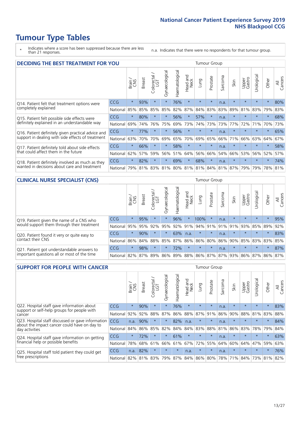### **Tumour Type Tables**

- \* Indicates where a score has been suppressed because there are less than 21 responses.
- n.a. Indicates that there were no respondents for that tumour group.

| <b>DECIDING THE BEST TREATMENT FOR YOU</b>         |            |         |               | <b>Tumour Group</b>         |                |                |                         |         |          |                          |                                     |                 |            |         |                |
|----------------------------------------------------|------------|---------|---------------|-----------------------------|----------------|----------------|-------------------------|---------|----------|--------------------------|-------------------------------------|-----------------|------------|---------|----------------|
|                                                    |            | Brain   | <b>Breast</b> | olorectal.<br>LGT<br>$\cup$ | Gynaecological | Haematological | ead and<br>Neck<br>Head | Lung    | Prostate | arcoma<br>$\overline{2}$ | Skin                                | Upper<br>Gastro | Jrological | Other   | All<br>Cancers |
| Q14. Patient felt that treatment options were      | CCG        | $\star$ | 93%           | $\star$                     | $\star$        | 76%            | $\star$                 | $\star$ | $\star$  | n.a.                     | $\star$                             | $\star$         | $\star$    | $\star$ | 80%            |
| completely explained                               | National   | 85%     | 85%           | 85%                         | 85%            | 82%            | 87%                     | 84%     | 83%      | 83%                      | 89%                                 | 81%             | 83%        | 79%     | 83%            |
| Q15. Patient felt possible side effects were       | <b>CCG</b> | $\star$ | 80%           |                             |                | 56%            | $\star$                 | 57%     | $\star$  | n.a.                     | $\star$                             | $\star$         |            | $\star$ | 68%            |
| definitely explained in an understandable way      | National   | 69%     | 74%           | 76%                         | 75%            | 69%            | 73%                     | 74%     | 73%      | 73%                      | 77%                                 | 72%             | 71%        | 70%     | 73%            |
| Q16. Patient definitely given practical advice and | CCG        | $\star$ | 77%           |                             | $\star$        | 56%            | $\star$                 | $\star$ | $\star$  | n.a.                     | $\star$                             | $\star$         | $\star$    | $\star$ | 65%            |
| support in dealing with side effects of treatment  | National   | 63%     | 70%           | 70%                         | 69%            | 65%            | 70%                     | 69%     | 65%      | 66%                      | 71%                                 | 66%             | 63%        | 64%     | 67%            |
| Q17. Patient definitely told about side effects    | CCG        | $\star$ | 66%           |                             | $\star$        | 58%            | $\star$                 | $\star$ | $\star$  | n.a.                     | $\star$                             | $\star$         | $\star$    | $\star$ | 58%            |
| that could affect them in the future               | National   | 62%     | 57%           | 59%                         | 56%            | 51%            | 64%                     | 56%     | 66%      | 54%                      | 66%                                 | 53%             | 56%        | 52%     | 57%            |
| Q18. Patient definitely involved as much as they   | CCG        | $\star$ | 82%           |                             | $\star$        | 69%            | $\star$                 | 68%     | $\star$  | n.a.                     | $\star$                             | $\star$         | $\star$    | $\star$ | 74%            |
| wanted in decisions about care and treatment       | National   | 79%     | 81%           |                             |                |                |                         |         |          |                          | 83% 81% 80% 81% 81% 84% 81% 87% 79% |                 | 79%        | 78% 81% |                |

#### **CLINICAL NURSE SPECIALIST (CNS)** Tumour Group

|                                             |            | Brain   | <b>Breast</b>     | Colorectal<br>LGT | ᠊ᢛ<br>Gynaecologic | $\overline{\sigma}$<br>ت<br>aematologi | Head and<br>Neck | Lung                    | Prostate | Sarcoma | Skin    | Upper<br>Gastro     | ᆕ<br>rologica | Other   | All<br>Cancers |
|---------------------------------------------|------------|---------|-------------------|-------------------|--------------------|----------------------------------------|------------------|-------------------------|----------|---------|---------|---------------------|---------------|---------|----------------|
| Q19. Patient given the name of a CNS who    | CCG        | $\star$ | 95%               |                   |                    | 96%                                    | $\star$          | 100%                    |          | n.a.    |         | $\star$             |               | $\star$ | 95%            |
| would support them through their treatment  | National   | 95%     | 95%               | 92%               | 95%                | 92%                                    | 91%              |                         | 94% 91%  | 91%     | 91%     | 93%                 | 85%           | 89%     | 92%            |
| Q20. Patient found it very or quite easy to | <b>CCG</b> | $\star$ | 90%               |                   |                    | 63%                                    | n.a.             | $\star$                 | $\star$  | n.a.    | $\star$ | $\star$             | $\star$       | $\star$ | 83%            |
| contact their CNS                           | National   |         | 86% 84% 88% 85%   |                   |                    | 87%                                    | 86%              | 86% 80%                 |          |         |         | 86% 90% 85% 83% 83% |               |         | 85%            |
| Q21. Patient got understandable answers to  | CCG        | $\star$ | 98%               | $\star$           | $\star$            | 72%                                    | $\star$          | $\star$                 | $\star$  | n.a.    | $\star$ | $\star$             | $\star$       | $\ast$  | 87%            |
| important questions all or most of the time | National   |         | 82% 87% 89% 86% 8 |                   |                    |                                        |                  | 89% 88% 86% 87% 87% 93% |          |         |         | 86% 87%             |               | 86%     | 87%            |

| <b>SUPPORT FOR PEOPLE WITH CANCER</b>                                                             |            | <b>Tumour Group</b> |               |                 |                |                |                         |         |          |              |         |                 |            |         |                |
|---------------------------------------------------------------------------------------------------|------------|---------------------|---------------|-----------------|----------------|----------------|-------------------------|---------|----------|--------------|---------|-----------------|------------|---------|----------------|
|                                                                                                   |            | Brain               | <b>Breast</b> | ╮<br>Colorectal | Gynaecological | Haematological | ead and<br>Neck<br>Head | Lung    | Prostate | arcoma<br>ιñ | Skin    | Upper<br>Gastro | Urological | Other   | All<br>Cancers |
| Q22. Hospital staff gave information about<br>support or self-help groups for people with         | CCG        | $\star$             | 90%           | $\star$         | $\star$        | 76%            | $\star$                 | $\star$ | $\star$  | n.a.         | $\star$ | $\star$         | $\star$    | $\star$ | 83%            |
| cancer                                                                                            | National   | 92%                 | 92%           | 88%             | 87%            | 86%            | 88%                     | 87%     | 91%      | 86%          | 90%     | 88%             | 81%        | 83%     | 88%            |
| Q23. Hospital staff discussed or gave information<br>about the impact cancer could have on day to | <b>CCG</b> | n.a.                | 90%           | $\star$         | $\star$        | 82%            | n.a.                    | $\star$ | $\star$  | n.a.         | $\star$ | $\star$         | $\star$    | $\star$ | 84%            |
| day activities                                                                                    | National   | 84%                 | 86%           | 85%             | 82%            | 84%            | 84%                     | 83%     | 88%      | 81%          | 86%     | 83%             | 78%        | 79%     | 84%            |
| Q24. Hospital staff gave information on getting                                                   | <b>CCG</b> | $\star$             | 72%           | $\star$         | $\star$        | 61%            | $\star$                 | $\star$ | $\star$  | n.a.         | $\star$ | $\star$         | $\star$    | $\ast$  | 63%            |
| financial help or possible benefits                                                               | National   | 78%                 | 68%           | 61%             | 66%            | 61%            | 67%                     | 72%     | 55%      | 64%          | 60%     | 64%             | 47%        | 59%     | 63%            |
| Q25. Hospital staff told patient they could get<br>free prescriptions                             | CCG        | n.a.                | 82%           | $\star$         | $\star$        | $\star$        | n.a.                    | $\star$ | $\star$  | n.a.         | $\star$ | $\star$         | $\star$    | $\star$ | 76%            |
|                                                                                                   | National   | 82%                 | 81%           | 83%             | 79%            | 87%            | 84%                     | 86%     | 80%      | 78%          | 71%     | 84%             | 73%        | 81%     | 82%            |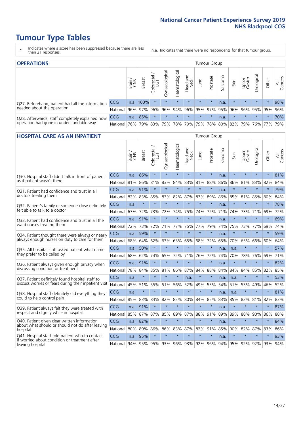### **Tumour Type Tables**

- \* Indicates where a score has been suppressed because there are less than 21 responses.
- n.a. Indicates that there were no respondents for that tumour group.

| <b>OPERATIONS</b>                                                                           |              | Tumour Group |               |            |                |                     |                  |         |                         |         |         |                     |                                  |         |                |
|---------------------------------------------------------------------------------------------|--------------|--------------|---------------|------------|----------------|---------------------|------------------|---------|-------------------------|---------|---------|---------------------|----------------------------------|---------|----------------|
|                                                                                             |              | Brain        | <b>Breast</b> | Colorectal | Gynaecological | Haematological      | Head and<br>Neck | Lung    | Prostate                | Sarcoma | Skin    | Upper<br>Gastro     | $\overline{\sigma}$<br>Jrologica | Other   | All<br>Cancers |
| Q27. Beforehand, patient had all the information                                            | <b>CCG</b>   | n.a.         | 100%          |            | $\star$        | $\star$             | $\star$          | $\star$ | $\star$                 | n.a.    | $\star$ | $\star$             | $\star$                          | $\star$ | 98%            |
| needed about the operation                                                                  | National I   | $96\%$       |               | 97% 96%    | 96%            |                     |                  |         | 94% 96% 95% 97% 95% 96% |         |         |                     | 96% 95% 95%                      |         | 96%            |
| Q28. Afterwards, staff completely explained how<br>operation had gone in understandable way | <b>CCG</b>   | n.a.         | 85%           |            | $\star$        | $\star$             | $\star$          | $\star$ | $\star$                 | n.a.    | $\star$ | $\star$             | $\star$                          | $\star$ | 70%            |
|                                                                                             | National 76% |              |               |            |                | 79% 83% 79% 78% 79% |                  |         |                         |         |         | 79% 78% 80% 82% 79% |                                  | 76% 77% | 79%            |

#### **HOSPITAL CARE AS AN INPATIENT** Tumour Group

|                                                                                                  |            | Brain<br>CNS | <b>Breast</b>               | Colorectal /<br>LGT | Gynaecological | Haematological | Head and<br>Neck | Lung    | Prostate | Sarcoma | Skin    | Upper<br>Gastro | Urological      | Other   | Cancers<br>$\overline{\overline{z}}$ |
|--------------------------------------------------------------------------------------------------|------------|--------------|-----------------------------|---------------------|----------------|----------------|------------------|---------|----------|---------|---------|-----------------|-----------------|---------|--------------------------------------|
| Q30. Hospital staff didn't talk in front of patient                                              | CCG        | n.a.         | 86%                         | $\star$             | $\star$        | $\star$        | $\star$          | $\star$ | $\star$  | n.a.    | $\star$ | $\star$         | $\star$         | $\star$ | 81%                                  |
| as if patient wasn't there                                                                       | National   | 81%          | 86%                         | 81%                 | 83%            | 84%            | 83%              | 81%     | 88%      | 86%     | 86%     | 81%             | 83%             | 82%     | 84%                                  |
| O31. Patient had confidence and trust in all                                                     | CCG        | n.a.         | 91%                         | $\star$             | $\star$        | $\star$        | $\star$          | $\star$ | $\star$  | n.a.    | $\star$ |                 | $\star$         | $\star$ | 79%                                  |
| doctors treating them                                                                            | National   | 82%          | 83%                         | 85%                 | 83%            | 82%            |                  | 87% 83% | 89%      | 86%     | 85%     |                 | 81% 85%         | 80%     | 84%                                  |
| Q32. Patient's family or someone close definitely                                                | CCG        | n.a.         | $\star$                     | $\star$             | $\star$        | $\star$        | $\star$          | $\star$ | $\star$  | n.a.    | $\star$ | $\star$         | $\star$         | $\star$ | 78%                                  |
| felt able to talk to a doctor                                                                    | National   | 67%          | 72%                         | 73%                 | 72%            | 74%            | 75%              | 74%     | 72%      | 71%     | 74%     | 73%             | 71%             | 69%     | 72%                                  |
| Q33. Patient had confidence and trust in all the                                                 | <b>CCG</b> | n.a.         | 91%                         | $\star$             | $\star$        | $\star$        | $\star$          | $\star$ | $\star$  | n.a.    | $\star$ | $\star$         | $\star$         | $\star$ | 69%                                  |
| ward nurses treating them                                                                        | National   | 72%          | 73%                         | 72%                 |                | 71% 77%        | 75%              | 77%     | 79%      | 74%     | 75%     | 73%             | 77%             | 69%     | 74%                                  |
| Q34. Patient thought there were always or nearly                                                 | CCG        | n.a.         | 59%                         | $\star$             | $\star$        | $\star$        | $\star$          | $\star$ | $\star$  | n.a.    | $\star$ |                 | $\star$         | $\star$ | 59%                                  |
| always enough nurses on duty to care for them                                                    | National   | 68%          | 64%                         | 62%                 | 63%            | 63%            | 65%              | 68%     | 72%      | 65%     | 70%     | 65%             | 66%             | 60%     | 64%                                  |
| Q35. All hospital staff asked patient what name                                                  | CCG        | n.a.         | 50%                         | $\star$             | $\star$        | $\star$        | $\star$          | $\star$ | $\star$  | n.a.    | n.a.    |                 | $\star$         | $\star$ | 57%                                  |
| they prefer to be called by                                                                      | National   | 68%          | 62%                         | 74%                 | 65%            | 72%            | 71%              | 76%     | 72%      | 74%     | 70%     | 78%             | 76%             | 69%     | 71%                                  |
| Q36. Patient always given enough privacy when                                                    | CCG        | n.a.         | 91%                         | $\star$             | $\star$        | $\star$        | $\star$          | $\star$ | $\star$  | n.a.    | $\star$ | $\star$         | $\star$         | $\star$ | 82%                                  |
| discussing condition or treatment                                                                | National   | 78%          | 84%                         | 85%                 | 81%            | 86%            |                  | 87% 84% | 88%      | 84%     | 84%     | 84%             | 85%             | 82%     | 85%                                  |
| Q37. Patient definitely found hospital staff to                                                  | <b>CCG</b> | n.a.         | $\star$                     | $\star$             |                | $\star$        | n.a.             | $\star$ | $\star$  | n.a.    | n.a.    |                 | $\star$         | $\star$ | 53%                                  |
| discuss worries or fears during their inpatient visit                                            | National   | 45%          | 51%                         | 55%                 |                | 51% 56%        | 52%              | 49%     | 53%      | 54%     | 51%     |                 | 53% 49%         | 46%     | 52%                                  |
| Q38. Hospital staff definitely did everything they                                               | CCG        | n.a.         | $\star$                     | $\star$             | $\star$        | $\star$        | $\star$          | $\star$ | $\star$  | n.a.    | n.a.    | $\star$         | $\star$         | $\star$ | 81%                                  |
| could to help control pain                                                                       | National   | 85%          | 83%                         | 84%                 | 82%            | 82%            | 80%              | 84%     | 85%      | 83%     | 85%     | 82%             | 81%             | 82%     | 83%                                  |
| Q39. Patient always felt they were treated with                                                  | CCG        | n.a.         | 91%                         | $\star$             | $\star$        | $\star$        | $\star$          | $\star$ | $\star$  | n.a.    | $\star$ |                 | $\star$         | $\star$ | 87%                                  |
| respect and dignity while in hospital                                                            | National   | 85%          | 87%                         | 87%                 | 85%            | 89%            |                  | 87% 88% | 91%      | 89%     | 89%     | 88%             | 90%             | 86%     | 88%                                  |
| Q40. Patient given clear written information                                                     | CCG        | n.a.         | 82%                         | $\star$             | $\star$        | $\star$        | $\star$          | $\star$ | $\star$  | n.a.    | $\star$ | $\star$         | $\star$         | $\star$ | 84%                                  |
| about what should or should not do after leaving<br>hospital                                     | National   | 80%          | 89%                         | 86%                 | 86%            | 83%            |                  | 87% 82% | 91%      | 85%     | 90%     | 82%             | 87%             | 83%     | 86%                                  |
| Q41. Hospital staff told patient who to contact<br>if worried about condition or treatment after | CCG        | n.a.         | 95%                         | $\star$             | $\star$        | $\star$        | $\star$          | $\star$ | $\star$  | n.a.    | $\star$ | $\star$         | $\star$         | $\star$ | 93%                                  |
| leaving hospital                                                                                 | National I |              | 94% 95% 95% 93% 96% 93% 92% |                     |                |                |                  |         | 96%      |         |         |                 | 94% 95% 92% 92% | 93%     | 94%                                  |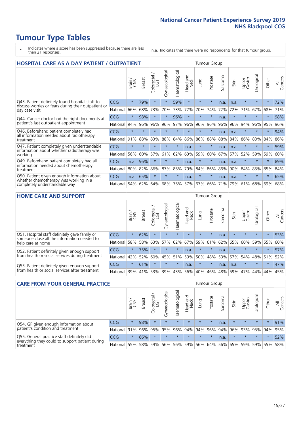## **Tumour Type Tables**

- \* Indicates where a score has been suppressed because there are less than 21 responses.
- n.a. Indicates that there were no respondents for that tumour group.

| <b>HOSPITAL CARE AS A DAY PATIENT / OUTPATIENT</b>                                         |            | <b>Tumour Group</b> |               |                       |                |                |                         |         |          |                  |      |                 |            |         |                |
|--------------------------------------------------------------------------------------------|------------|---------------------|---------------|-----------------------|----------------|----------------|-------------------------|---------|----------|------------------|------|-----------------|------------|---------|----------------|
|                                                                                            |            | Brain               | <b>Breast</b> | olorectal<br>LGT<br>Ũ | Gynaecological | Haematological | ead and<br>Neck<br>Head | Lung    | Prostate | arcoma<br>$\sim$ | Skin | Upper<br>Gastro | Jrological | Other   | All<br>Cancers |
| Q43. Patient definitely found hospital staff to                                            | CCG        | $\star$             | 79%           | $\star$               | $\star$        | 59%            | $\star$                 | $\star$ | $\star$  | n.a.             | n.a. | $\star$         | $\star$    | $\star$ | 72%            |
| discuss worries or fears during their outpatient or<br>day case visit                      | National   | 66%                 | 68%           | 73%                   | 70%            | 73%            | 72%                     | 70%     | 74%      | 72%              | 72%  | 71%             | 67%        | 68%     | 71%            |
| Q44. Cancer doctor had the right documents at                                              | CCG        | $\star$             | 98%           | $\star$               | $\star$        | 96%            | $\star$                 | $\star$ | $\star$  | n.a.             |      | $\star$         | $\star$    | $\ast$  | 98%            |
| patient's last outpatient appointment                                                      | National   | 94%                 | 96%           | 96%                   | 96%            | 97%            | 96%                     | 96%     | 96%      | 96%              | 96%  | 94%             | 96%        | 95%     | 96%            |
| Q46. Beforehand patient completely had<br>all information needed about radiotherapy        | <b>CCG</b> | $\star$             | $\star$       |                       |                |                | $\star$                 | $\star$ | $\star$  | n.a.             | n.a. | $\star$         | $\star$    | $\star$ | 94%            |
| treatment                                                                                  | National   | 91%                 | 88%           | 83%                   | 88%            | 84%            | 86%                     | 86%     | 88%      | 88%              | 84%  | 86%             | 83%        | 84%     | 86%            |
| Q47. Patient completely given understandable<br>information about whether radiotherapy was | <b>CCG</b> | $\star$             | $\star$       | $\star$               | $\star$        | $\star$        | n.a.                    | $\star$ | $\star$  | n.a.             | n.a. | $\star$         | $\star$    | $\star$ | 59%            |
| working                                                                                    | National   | 56%                 | 60%           | 57%                   | 61%            | 62%            | 63%                     | 59%     | 60%      | 67%              | 57%  | 52%             | 59%        | 59%     | 60%            |
| Q49. Beforehand patient completely had all                                                 | <b>CCG</b> | n.a.                | 96%           | $\star$               | $\star$        | $\star$        | n.a.                    | $\star$ | $\star$  | n.a.             | n.a. | $\star$         | $\star$    | $\ast$  | 89%            |
| information needed about chemotherapy<br>treatment                                         | National   | 80%                 | 82%           | 86%                   | 87%            | 85%            | 79%                     | 84%     | 86%      | 86%              | 90%  | 84%             | 85%        | 85%     | 84%            |
| Q50. Patient given enough information about                                                | <b>CCG</b> | n.a.                | 65%           | $\star$               |                | $\star$        | n.a.                    | $\star$ | $\star$  | n.a.             | n.a. | $\star$         |            | 大       | 65%            |
| whether chemotherapy was working in a<br>completely understandable way                     | National   | 54%                 | 62%           | 64%                   | 68%            | 75%            |                         | 57% 67% | 66%      | 71%              | 79%  | 61%             | 68%        | 69%     | 68%            |

#### **HOME CARE AND SUPPORT** Tumour Group

|                                                                                                                   |            | Brain   | Breast  | Colorectal<br>LGT | ᢛ<br>Gynaecologic | Haematological | Head and<br>Neck | <b>Dung</b> | Prostate | Sarcoma | Skin    | Upper<br>Gastro | rologica | Other   | All<br>Cancers |
|-------------------------------------------------------------------------------------------------------------------|------------|---------|---------|-------------------|-------------------|----------------|------------------|-------------|----------|---------|---------|-----------------|----------|---------|----------------|
| Q51. Hospital staff definitely gave family or<br>someone close all the information needed to<br>help care at home | <b>CCG</b> | $\star$ | 62%     | $\star$           | $\star$           | $\star$        | $\star$          | $\star$     | $\star$  | n.a.    | $\star$ | $\star$         | $\star$  | $\star$ | 53%            |
|                                                                                                                   | National   | 58%     | 58%     | 63%               | 57%               | 62%            | 67%              |             | 59% 61%  |         | 62% 65% | 60%             | 59% 55%  |         | 60%            |
| Q52. Patient definitely given enough support<br>from health or social services during treatment                   | <b>CCG</b> | $\star$ | 75%     |                   | $\star$           | $\star$        | n.a.             | $\star$     | $\star$  | n.a.    | $\star$ | $\star$         | $\star$  | $\star$ | 57%            |
|                                                                                                                   | National   | 42%     | 52%     | 60%               |                   | 45% 51%        | 59%              | 50%         | 48%      |         | 53% 57% | 54%             | 48% 51%  |         | 52%            |
| Q53. Patient definitely given enough support<br>from health or social services after treatment                    | <b>CCG</b> | $\star$ | 61%     |                   | $\star$           | $\star$        | n.a.             | $\star$     | $\star$  | n.a.    | n.a.    | $\star$         | $\star$  | $\star$ | 47%            |
|                                                                                                                   | National   | 39%     | 41% 53% |                   | 39%               | $ 43\% $       | 56%              | 40%         | 46%      | 48%     | 59%     | 47%             | 44%      | 44%     | 45%            |

| <b>CARE FROM YOUR GENERAL PRACTICE</b>                       |              |              |               |                   |                |                |                  | Tumour Group |          |         |         |                     |             |         |                |  |
|--------------------------------------------------------------|--------------|--------------|---------------|-------------------|----------------|----------------|------------------|--------------|----------|---------|---------|---------------------|-------------|---------|----------------|--|
|                                                              |              | Brain<br>CNS | <b>Breast</b> | Colorectal<br>LGT | Gynaecological | Haematological | Head and<br>Neck | Lung         | Prostate | Sarcoma | Skin    | Upper<br>Gastro     | Urologica   | Other   | All<br>Cancers |  |
| Q54. GP given enough information about                       | <b>CCG</b>   | $\star$      | 98%           | $\star$           | $\star$        | $\star$        | $\star$          | $\star$      | $\star$  | n.a.    | $\star$ | $\star$             | $\star$     | $\star$ | 91%            |  |
| patient's condition and treatment                            | National 91% |              |               | 96% 95%           | 95%            |                | 96% 94% 94% 96%  |              |          |         | 94% 96% |                     | 93% 95% 94% |         | 95%            |  |
| Q55. General practice staff definitely did                   | <b>CCG</b>   | $\star$      | 66%           | $\star$           | $\star$        | $\star$        | $\star$          | $\star$      | $\star$  | n.a.    | $\star$ | $\star$             | $\star$     | $\star$ | 52%            |  |
| everything they could to support patient during<br>treatment | National 55% |              | 58%           | 59%               | 56%            |                | 56% 59%          |              | 56% 64%  |         |         | 56% 65% 59% 59% 55% |             |         | 58%            |  |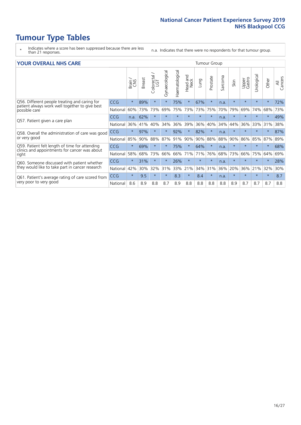### **Tumour Type Tables**

- \* Indicates where a score has been suppressed because there are less than 21 responses.
- n.a. Indicates that there were no respondents for that tumour group.

#### **YOUR OVERALL NHS CARE** THE CONSTRUCTION OF THE THROUP GROUP TUMOUR GROUP

| UN V V LIVALL IVI 19 GAINL |              |               |                   |                |                |                         |         |          |                      |         |                 |                |          |                |
|----------------------------|--------------|---------------|-------------------|----------------|----------------|-------------------------|---------|----------|----------------------|---------|-----------------|----------------|----------|----------------|
|                            | Brain<br>CNS | <b>Breast</b> | Colorectal<br>LGT | Gynaecological | Haematological | aad and<br>Neck<br>Head | Lung    | Prostate | arcoma<br>$\sqrt{ }$ | Skin    | Upper<br>Gastro | ෆී<br>Urologia | Other    | All<br>Cancers |
| <b>CCG</b>                 | $\star$      | 89%           | $\star$           | $\star$        | 75%            | $\star$                 | 67%     | $\star$  | n.a.                 | $\star$ | $\star$         |                | $\ast$   | 72%            |
| National                   | 60%          | 73%           | 73%               | 69%            | 75%            | 73%                     | 73%     | 75%      | 70%                  | 79%     | 69%             | 74%            | 68%      | 73%            |
| <b>CCG</b>                 | n.a.         | 62%           | $\star$           | $\star$        |                | $\star$                 | $\star$ | $\star$  | n.a.                 | $\star$ | $\star$         |                | $\ast$   | 49%            |
| National                   | 36%          | 41%           | 40%               | 34%            | 36%            | 39%                     | 36%     | 40%      | 34%                  | 44%     | 36%             | 33%            | 31%      | 38%            |
| <b>CCG</b>                 | $\star$      | 97%           | $\star$           |                | 92%            | $\ast$                  | 82%     | $\star$  | n.a.                 | $\star$ |                 |                |          | 87%            |
| National                   | 85%          | 90%           | 88%               | 87%            | 91%            | 90%                     | 90%     | 88%      | 88%                  | 90%     | 86%             | 85%            | 87%      | 89%            |
| <b>CCG</b>                 | $\star$      | 69%           | $\star$           | $\star$        | 75%            | $\star$                 | 64%     | $\star$  | n.a.                 | $\star$ | $\star$         | $\star$        | $\ast$   | 68%            |
| National                   | 58%          | 68%           | 73%               | 66%            | 66%            | 71%                     | 71%     | 76%      | 68%                  | 73%     | 66%             | 75%            | 64%      | 69%            |
| <b>CCG</b>                 | $\star$      | 31%           | $\star$           |                | 26%            | $\star$                 | $\star$ | $\star$  | n.a.                 | $\star$ |                 |                | $^\star$ | 28%            |
| National                   | 42%          | 30%           | 32%               | 31%            | 33%            |                         | 34%     | 31%      | 36%                  | 20%     | 36%             | 21%            | 32%      | 30%            |
| CCG                        | $\star$      | 9.5           | $\star$           | $\star$        | 8.3            | $\ast$                  | 8.4     | $\star$  | n.a.                 | $\star$ | $\star$         |                | $^\star$ | 8.7            |
| National                   | 8.6          | 8.9           | 8.8               | 8.7            | 8.9            | 8.8                     | 8.8     | 8.8      | 8.8                  | 8.9     | 8.7             | 8.7            | 8.7      | 8.8            |
|                            |              |               |                   |                |                |                         | 21%     |          |                      |         |                 |                |          |                |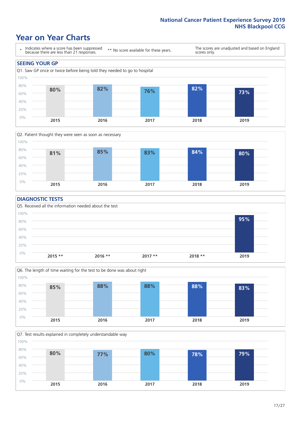### **Year on Year Charts**





#### **DIAGNOSTIC TESTS**





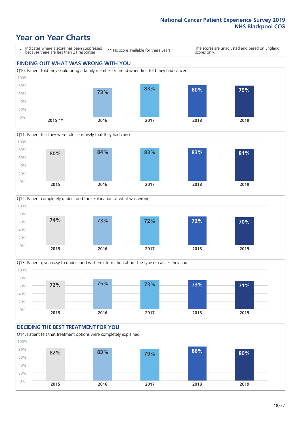### **Year on Year Charts**

\* Indicates where a score has been suppressed because there are less than 21 responses.

\*\* No score available for these years.

The scores are unadjusted and based on England scores only.

### **FINDING OUT WHAT WAS WRONG WITH YOU**









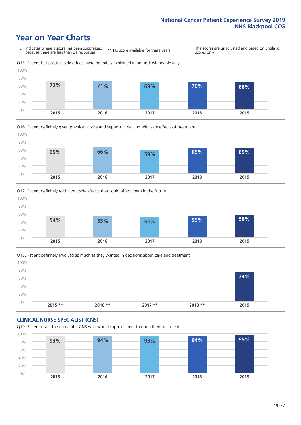### **Year on Year Charts**







Q18. Patient definitely involved as much as they wanted in decisions about care and treatment  $0%$ 20% 40% 60% 80% 100% **2015 \*\* 2016 \*\* 2017 \*\* 2018 \*\* 2019 74%**

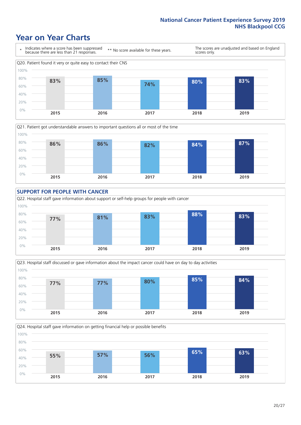### **Year on Year Charts**











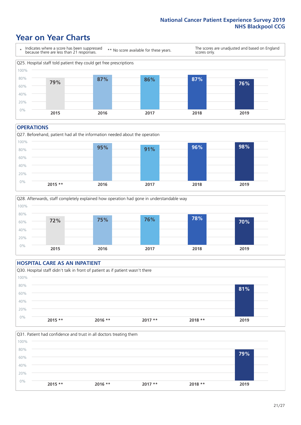### **Year on Year Charts**



#### **OPERATIONS**





### **HOSPITAL CARE AS AN INPATIENT** Q30. Hospital staff didn't talk in front of patient as if patient wasn't there 0% 20% 40% 60% 80% 100% **2015 \*\* 2016 \*\* 2017 \*\* 2018 \*\* 2019 81%**

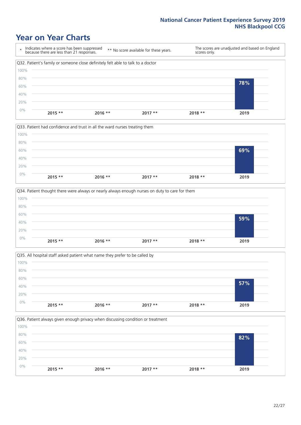### **Year on Year Charts**









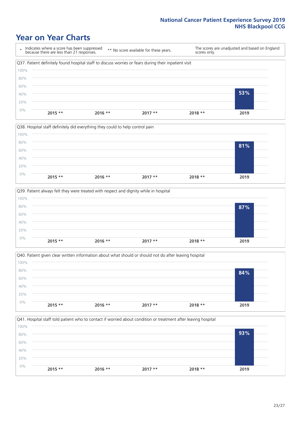### **Year on Year Charts**









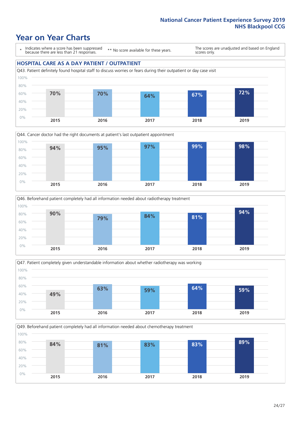### **Year on Year Charts**

\* Indicates where a score has been suppressed because there are less than 21 responses.

\*\* No score available for these years.

The scores are unadjusted and based on England scores only.

#### **HOSPITAL CARE AS A DAY PATIENT / OUTPATIENT**









Q49. Beforehand patient completely had all information needed about chemotherapy treatment 0% 20% 40% 60% 80% 100% **2015 2016 2017 2018 2019 84% 81% 83% 83% 89%**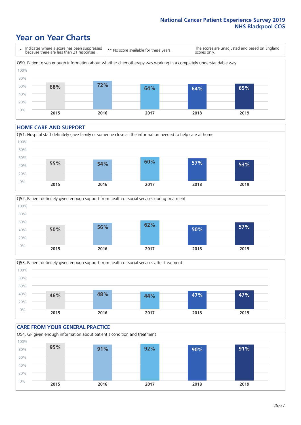### **Year on Year Charts**

\* Indicates where a score has been suppressed because there are less than 21 responses. \*\* No score available for these years. The scores are unadjusted and based on England scores only. Q50. Patient given enough information about whether chemotherapy was working in a completely understandable way 0% 20% 40% 60% 80% 100% **2015 2016 2017 2018 2019 68% 72% 64% 64% 65%**

#### **HOME CARE AND SUPPORT**







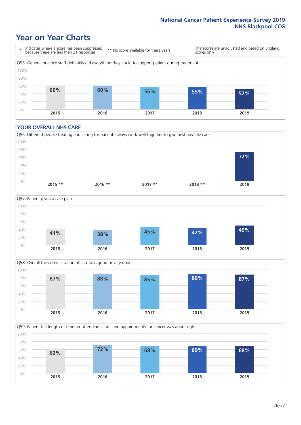### **Year on Year Charts**

\* Indicates where a score has been suppressed because there are less than 21 responses.

\*\* No score available for these years.

The scores are unadjusted and based on England scores only.



#### **YOUR OVERALL NHS CARE**







Q59. Patient felt length of time for attending clinics and appointments for cancer was about right